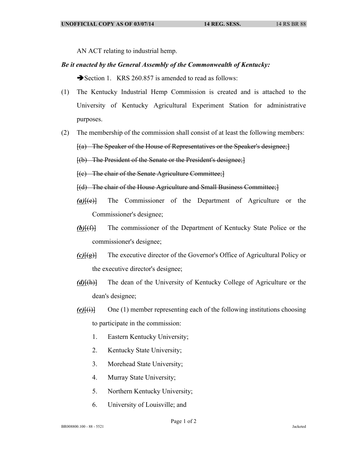AN ACT relating to industrial hemp.

## *Be it enacted by the General Assembly of the Commonwealth of Kentucky:*

Section 1. KRS 260.857 is amended to read as follows:

- (1) The Kentucky Industrial Hemp Commission is created and is attached to the University of Kentucky Agricultural Experiment Station for administrative purposes.
- (2) The membership of the commission shall consist of at least the following members: [(a) The Speaker of the House of Representatives or the Speaker's designee;]
	- [(b) The President of the Senate or the President's designee;]
	- $[(e)$  The chair of the Senate Agriculture Committee;
	- [(d) The chair of the House Agriculture and Small Business Committee;]
	- *(a)*[(e)] The Commissioner of the Department of Agriculture or the Commissioner's designee;
	- *(b)*[(f)] The commissioner of the Department of Kentucky State Police or the commissioner's designee;
	- *(c)*[(g)] The executive director of the Governor's Office of Agricultural Policy or the executive director's designee;
	- *(d)*[(h)] The dean of the University of Kentucky College of Agriculture or the dean's designee;
	- *(e)*[(i)] One (1) member representing each of the following institutions choosing to participate in the commission:
		- 1. Eastern Kentucky University;
		- 2. Kentucky State University;
		- 3. Morehead State University;
		- 4. Murray State University;
		- 5. Northern Kentucky University;
		- 6. University of Louisville; and